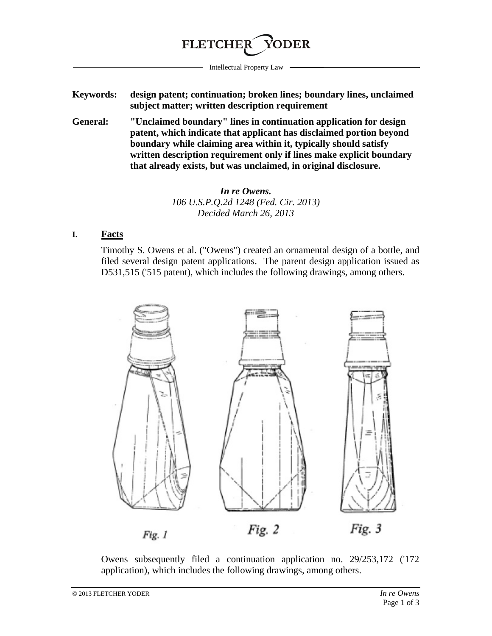

Intellectual Property Law

- **Keywords: design patent; continuation; broken lines; boundary lines, unclaimed subject matter; written description requirement**
- **General: "Unclaimed boundary" lines in continuation application for design patent, which indicate that applicant has disclaimed portion beyond boundary while claiming area within it, typically should satisfy written description requirement only if lines make explicit boundary that already exists, but was unclaimed, in original disclosure.**

*In re Owens. 106 U.S.P.Q.2d 1248 (Fed. Cir. 2013) Decided March 26, 2013*

## **I. Facts**

Timothy S. Owens et al. ("Owens") created an ornamental design of a bottle, and filed several design patent applications. The parent design application issued as D531,515 ('515 patent), which includes the following drawings, among others.



Owens subsequently filed a continuation application no. 29/253,172 ('172 application), which includes the following drawings, among others.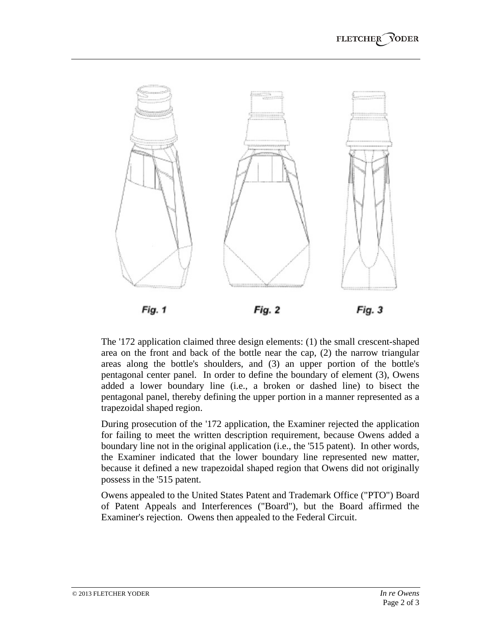

The '172 application claimed three design elements: (1) the small crescent-shaped area on the front and back of the bottle near the cap, (2) the narrow triangular areas along the bottle's shoulders, and (3) an upper portion of the bottle's pentagonal center panel. In order to define the boundary of element (3), Owens added a lower boundary line (i.e., a broken or dashed line) to bisect the pentagonal panel, thereby defining the upper portion in a manner represented as a trapezoidal shaped region.

During prosecution of the '172 application, the Examiner rejected the application for failing to meet the written description requirement, because Owens added a boundary line not in the original application (i.e., the '515 patent). In other words, the Examiner indicated that the lower boundary line represented new matter, because it defined a new trapezoidal shaped region that Owens did not originally possess in the '515 patent.

Owens appealed to the United States Patent and Trademark Office ("PTO") Board of Patent Appeals and Interferences ("Board"), but the Board affirmed the Examiner's rejection. Owens then appealed to the Federal Circuit.